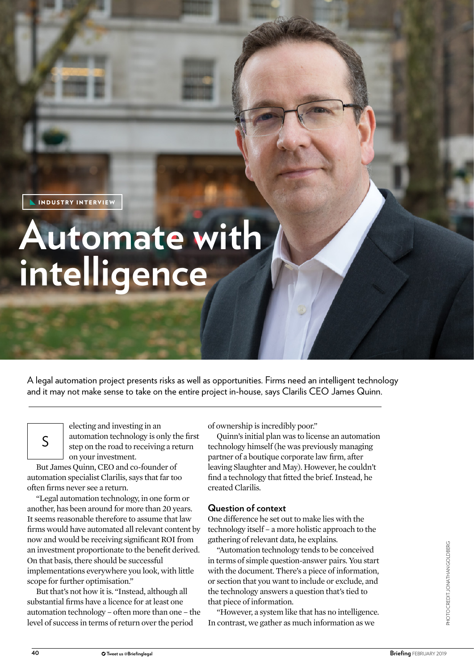INDUSTRY INTERVIEW

**INDUSTRY VIEWS SPONSORED EDITORIAL** 

# **Automate with intelligence**

A legal automation project presents risks as well as opportunities. Firms need an intelligent technology and it may not make sense to take on the entire project in-house, says Clarilis CEO James Quinn.

Example 1 and investing in an automation technology is only the step on the road to receiving a re on your investment.<br>But James Quinn, CEO and co-founder of electing and investing in an automation technology is only the first step on the road to receiving a return on your investment.

automation specialist Clarilis, says that far too often firms never see a return.

"Legal automation technology, in one form or another, has been around for more than 20 years. It seems reasonable therefore to assume that law firms would have automated all relevant content by now and would be receiving significant ROI from an investment proportionate to the benefit derived. On that basis, there should be successful implementations everywhere you look, with little scope for further optimisation."

But that's not how it is. "Instead, although all substantial firms have a licence for at least one automation technology – often more than one – the level of success in terms of return over the period

of ownership is incredibly poor."

Quinn's initial plan was to license an automation technology himself (he was previously managing partner of a boutique corporate law firm, after leaving Slaughter and May). However, he couldn't find a technology that fitted the brief. Instead, he created Clarilis.

# **Question of context**

One difference he set out to make lies with the technology itself – a more holistic approach to the gathering of relevant data, he explains.

"Automation technology tends to be conceived in terms of simple question-answer pairs. You start with the document. There's a piece of information, or section that you want to include or exclude, and the technology answers a question that's tied to that piece of information.

"However, a system like that has no intelligence. In contrast, we gather as much information as we